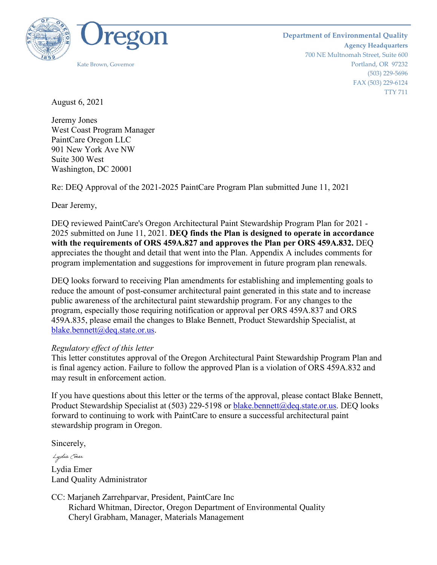

August 6, 2021

Jeremy Jones West Coast Program Manager PaintCare Oregon LLC 901 New York Ave NW Suite 300 West Washington, DC 20001

Re: DEQ Approval of the 2021-2025 PaintCare Program Plan submitted June 11, 2021

Dear Jeremy,

DEQ reviewed PaintCare's Oregon Architectural Paint Stewardship Program Plan for 2021 - 2025 submitted on June 11, 2021. **DEQ finds the Plan is designed to operate in accordance with the requirements of ORS 459A.827 and approves the Plan per ORS 459A.832.** DEQ appreciates the thought and detail that went into the Plan. Appendix A includes comments for program implementation and suggestions for improvement in future program plan renewals.

DEQ looks forward to receiving Plan amendments for establishing and implementing goals to reduce the amount of post-consumer architectural paint generated in this state and to increase public awareness of the architectural paint stewardship program. For any changes to the program, especially those requiring notification or approval per ORS 459A.837 and ORS 459A.835, please email the changes to Blake Bennett, Product Stewardship Specialist, at [blake.bennett@deq.state.or.us.](mailto:blake.bennett@deq.state.or.us)

## *Regulatory effect of this letter*

This letter constitutes approval of the Oregon Architectural Paint Stewardship Program Plan and is final agency action. Failure to follow the approved Plan is a violation of ORS 459A.832 and may result in enforcement action.

If you have questions about this letter or the terms of the approval, please contact Blake Bennett, Product Stewardship Specialist at (503) 229-5198 or [blake.bennett@deq.state.or.us.](mailto:blake.bennett@deq.state.or.us) DEQ looks forward to continuing to work with PaintCare to ensure a successful architectural paint stewardship program in Oregon.

Sincerely,

Lydia (mer Lydia Emer Land Quality Administrator

CC: Marjaneh Zarrehparvar, President, PaintCare Inc Richard Whitman, Director, Oregon Department of Environmental Quality Cheryl Grabham, Manager, Materials Management